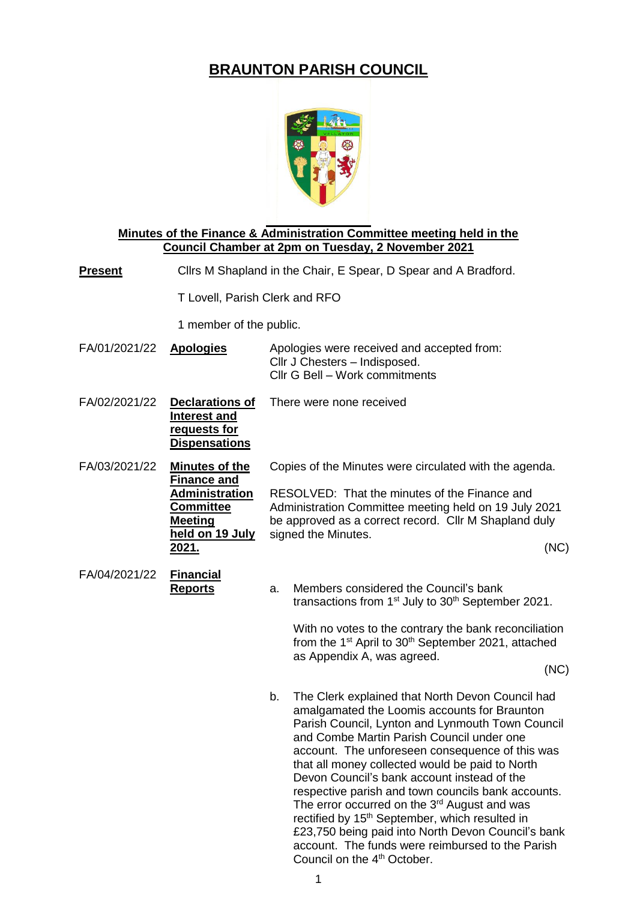## **BRAUNTON PARISH COUNCIL**



**Minutes of the Finance & Administration Committee meeting held in the Council Chamber at 2pm on Tuesday, 2 November 2021**

**Present** Cllrs M Shapland in the Chair, E Spear, D Spear and A Bradford.

T Lovell, Parish Clerk and RFO

1 member of the public.

| FA/01/2021/22 | <b>Apologies</b>                                                                                                                               | Apologies were received and accepted from:<br>Cllr J Chesters - Indisposed.<br>Cllr G Bell - Work commitments                                                                                                                                                                                                                                                                                                                                                                                                                                                                                                                                                                                     |
|---------------|------------------------------------------------------------------------------------------------------------------------------------------------|---------------------------------------------------------------------------------------------------------------------------------------------------------------------------------------------------------------------------------------------------------------------------------------------------------------------------------------------------------------------------------------------------------------------------------------------------------------------------------------------------------------------------------------------------------------------------------------------------------------------------------------------------------------------------------------------------|
| FA/02/2021/22 | <b>Declarations of</b><br><b>Interest and</b><br>requests for<br><b>Dispensations</b>                                                          | There were none received                                                                                                                                                                                                                                                                                                                                                                                                                                                                                                                                                                                                                                                                          |
| FA/03/2021/22 | <b>Minutes of the</b><br><b>Finance and</b><br><u> Administration</u><br><b>Committee</b><br><b>Meeting</b><br>held on 19 July<br><u>2021.</u> | Copies of the Minutes were circulated with the agenda.<br>RESOLVED: That the minutes of the Finance and<br>Administration Committee meeting held on 19 July 2021<br>be approved as a correct record. Cllr M Shapland duly<br>signed the Minutes.<br>(NC)                                                                                                                                                                                                                                                                                                                                                                                                                                          |
| FA/04/2021/22 | <b>Financial</b><br><b>Reports</b>                                                                                                             | Members considered the Council's bank<br>a.<br>transactions from 1 <sup>st</sup> July to 30 <sup>th</sup> September 2021.<br>With no votes to the contrary the bank reconciliation<br>from the 1 <sup>st</sup> April to 30 <sup>th</sup> September 2021, attached<br>as Appendix A, was agreed.<br>(NC)                                                                                                                                                                                                                                                                                                                                                                                           |
|               |                                                                                                                                                | b.<br>The Clerk explained that North Devon Council had<br>amalgamated the Loomis accounts for Braunton<br>Parish Council, Lynton and Lynmouth Town Council<br>and Combe Martin Parish Council under one<br>account. The unforeseen consequence of this was<br>that all money collected would be paid to North<br>Devon Council's bank account instead of the<br>respective parish and town councils bank accounts.<br>The error occurred on the 3 <sup>rd</sup> August and was<br>rectified by 15 <sup>th</sup> September, which resulted in<br>£23,750 being paid into North Devon Council's bank<br>account. The funds were reimbursed to the Parish<br>Council on the 4 <sup>th</sup> October. |